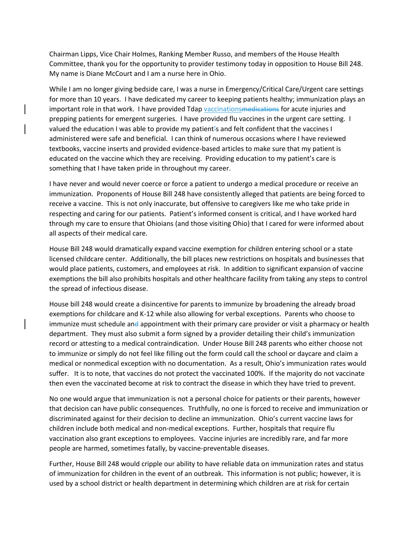Chairman Lipps, Vice Chair Holmes, Ranking Member Russo, and members of the House Health Committee, thank you for the opportunity to provider testimony today in opposition to House Bill 248. My name is Diane McCourt and I am a nurse here in Ohio.

While I am no longer giving bedside care, I was a nurse in Emergency/Critical Care/Urgent care settings for more than 10 years. I have dedicated my career to keeping patients healthy; immunization plays an important role in that work. I have provided Tdap vaccinations medications for acute injuries and prepping patients for emergent surgeries. I have provided flu vaccines in the urgent care setting. I valued the education I was able to provide my patient's and felt confident that the vaccines I administered were safe and beneficial. I can think of numerous occasions where I have reviewed textbooks, vaccine inserts and provided evidence-based articles to make sure that my patient is educated on the vaccine which they are receiving. Providing education to my patient's care is something that I have taken pride in throughout my career.

I have never and would never coerce or force a patient to undergo a medical procedure or receive an immunization. Proponents of House Bill 248 have consistently alleged that patients are being forced to receive a vaccine. This is not only inaccurate, but offensive to caregivers like me who take pride in respecting and caring for our patients. Patient's informed consent is critical, and I have worked hard through my care to ensure that Ohioians (and those visiting Ohio) that I cared for were informed about all aspects of their medical care.

House Bill 248 would dramatically expand vaccine exemption for children entering school or a state licensed childcare center. Additionally, the bill places new restrictions on hospitals and businesses that would place patients, customers, and employees at risk. In addition to significant expansion of vaccine exemptions the bill also prohibits hospitals and other healthcare facility from taking any steps to control the spread of infectious disease.

House bill 248 would create a disincentive for parents to immunize by broadening the already broad exemptions for childcare and K-12 while also allowing for verbal exceptions. Parents who choose to immunize must schedule and appointment with their primary care provider or visit a pharmacy or health department. They must also submit a form signed by a provider detailing their child's immunization record or attesting to a medical contraindication. Under House Bill 248 parents who either choose not to immunize or simply do not feel like filling out the form could call the school or daycare and claim a medical or nonmedical exception with no documentation. As a result, Ohio's immunization rates would suffer. It is to note, that vaccines do not protect the vaccinated 100%. If the majority do not vaccinate then even the vaccinated become at risk to contract the disease in which they have tried to prevent.

No one would argue that immunization is not a personal choice for patients or their parents, however that decision can have public consequences. Truthfully, no one is forced to receive and immunization or discriminated against for their decision to decline an immunization. Ohio's current vaccine laws for children include both medical and non-medical exceptions. Further, hospitals that require flu vaccination also grant exceptions to employees. Vaccine injuries are incredibly rare, and far more people are harmed, sometimes fatally, by vaccine-preventable diseases.

Further, House Bill 248 would cripple our ability to have reliable data on immunization rates and status of immunization for children in the event of an outbreak. This information is not public; however, it is used by a school district or health department in determining which children are at risk for certain